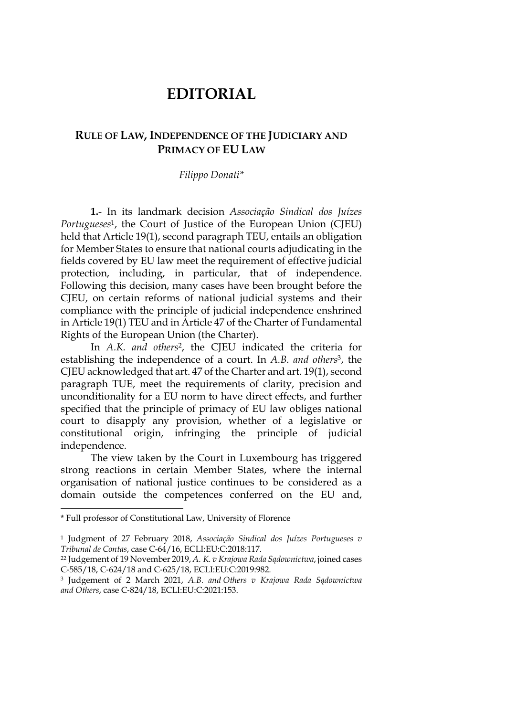## **EDITORIAL**

## **RULE OF LAW, INDEPENDENCE OF THE JUDICIARY AND PRIMACY OF EU LAW**

## *Filippo Donati\**

**1.**- In its landmark decision *Associação Sindical dos Juízes Portugueses*1, the Court of Justice of the European Union (CJEU) held that Article 19(1), second paragraph TEU, entails an obligation for Member States to ensure that national courts adjudicating in the fields covered by EU law meet the requirement of effective judicial protection, including, in particular, that of independence. Following this decision, many cases have been brought before the CJEU, on certain reforms of national judicial systems and their compliance with the principle of judicial independence enshrined in Article 19(1) TEU and in Article 47 of the Charter of Fundamental Rights of the European Union (the Charter).

In *A.K. and others*2, the CJEU indicated the criteria for establishing the independence of a court. In *A.B. and others*3, the CJEU acknowledged that art. 47 of the Charter and art. 19(1), second paragraph TUE, meet the requirements of clarity, precision and unconditionality for a EU norm to have direct effects, and further specified that the principle of primacy of EU law obliges national court to disapply any provision, whether of a legislative or constitutional origin, infringing the principle of judicial independence.

The view taken by the Court in Luxembourg has triggered strong reactions in certain Member States, where the internal organisation of national justice continues to be considered as a domain outside the competences conferred on the EU and,

<sup>\*</sup> Full professor of Constitutional Law, University of Florence

<sup>1</sup> Judgment of 27 February 2018, *Associação Sindical dos Juízes Portugueses v Tribunal de Contas*, case C-64/16, ECLI:EU:C:2018:117.

<sup>22</sup> Judgement of 19 November 2019, *A. K. v Krajowa Rada Sądownictwa*, joined cases C-585/18, C-624/18 and C-625/18, ECLI:EU:C:2019:982.

<sup>3</sup> Judgement of 2 March 2021, *A.B. and Others v Krajowa Rada Sądownictwa and Others*, case C-824/18, ECLI:EU:C:2021:153.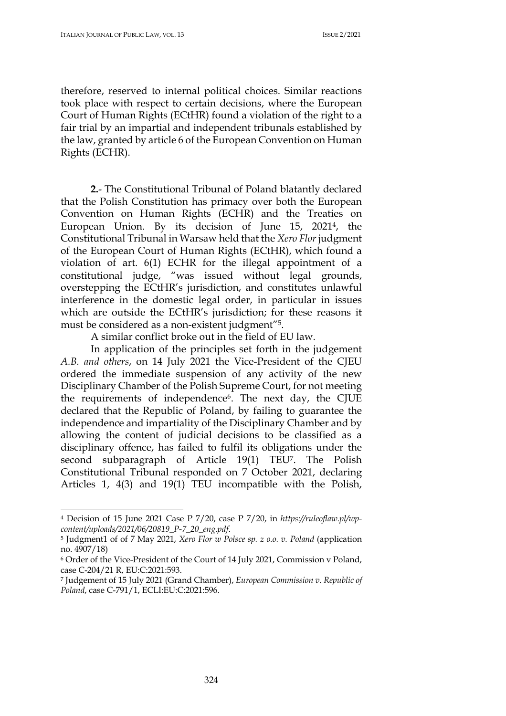therefore, reserved to internal political choices. Similar reactions took place with respect to certain decisions, where the European Court of Human Rights (ECtHR) found a violation of the right to a fair trial by an impartial and independent tribunals established by the law, granted by article 6 of the European Convention on Human Rights (ECHR).

**2.**- The Constitutional Tribunal of Poland blatantly declared that the Polish Constitution has primacy over both the European Convention on Human Rights (ECHR) and the Treaties on European Union. By its decision of June 15, 20214, the Constitutional Tribunal in Warsaw held that the *Xero Flor* judgment of the European Court of Human Rights (ECtHR), which found a violation of art. 6(1) ECHR for the illegal appointment of a constitutional judge, "was issued without legal grounds, overstepping the ECtHR's jurisdiction, and constitutes unlawful interference in the domestic legal order, in particular in issues which are outside the ECtHR's jurisdiction; for these reasons it must be considered as a non-existent judgment"5.

A similar conflict broke out in the field of EU law.

In application of the principles set forth in the judgement *A.B. and others*, on 14 July 2021 the Vice-President of the CJEU ordered the immediate suspension of any activity of the new Disciplinary Chamber of the Polish Supreme Court, for not meeting the requirements of independence<sup>6</sup>. The next day, the CJUE declared that the Republic of Poland, by failing to guarantee the independence and impartiality of the Disciplinary Chamber and by allowing the content of judicial decisions to be classified as a disciplinary offence, has failed to fulfil its obligations under the second subparagraph of Article 19(1) TEU7. The Polish Constitutional Tribunal responded on 7 October 2021, declaring Articles 1, 4(3) and 19(1) TEU incompatible with the Polish,

<sup>4</sup> Decision of 15 June 2021 Case P 7/20, case P 7/20, in *https://ruleoflaw.pl/wpcontent/uploads/2021/06/20819\_P-7\_20\_eng.pdf*.

<sup>5</sup> Judgment1 of of 7 May 2021, *Xero Flor w Polsce sp. z o.o. v. Poland* (application no. 4907/18)

<sup>6</sup> Order of the Vice-President of the Court of 14 July 2021, Commission v Poland, case C-204/21 R, EU:C:2021:593.

<sup>7</sup> Judgement of 15 July 2021 (Grand Chamber), *European Commission v. Republic of Poland*, case C-791/1, ECLI:EU:C:2021:596.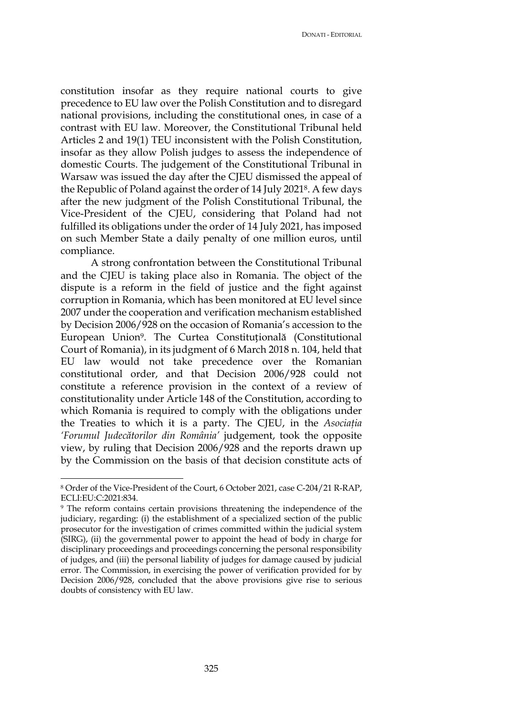DONATI - EDITORIAL

constitution insofar as they require national courts to give precedence to EU law over the Polish Constitution and to disregard national provisions, including the constitutional ones, in case of a contrast with EU law. Moreover, the Constitutional Tribunal held Articles 2 and 19(1) TEU inconsistent with the Polish Constitution, insofar as they allow Polish judges to assess the independence of domestic Courts. The judgement of the Constitutional Tribunal in Warsaw was issued the day after the CJEU dismissed the appeal of the Republic of Poland against the order of 14 July 20218. A few days after the new judgment of the Polish Constitutional Tribunal, the Vice-President of the CJEU, considering that Poland had not fulfilled its obligations under the order of 14 July 2021, has imposed on such Member State a daily penalty of one million euros, until compliance.

A strong confrontation between the Constitutional Tribunal and the CJEU is taking place also in Romania. The object of the dispute is a reform in the field of justice and the fight against corruption in Romania, which has been monitored at EU level since 2007 under the cooperation and verification mechanism established by Decision 2006/928 on the occasion of Romania's accession to the European Union9. The Curtea Constituțională (Constitutional Court of Romania), in its judgment of 6 March 2018 n. 104, held that EU law would not take precedence over the Romanian constitutional order, and that Decision 2006/928 could not constitute a reference provision in the context of a review of constitutionality under Article 148 of the Constitution, according to which Romania is required to comply with the obligations under the Treaties to which it is a party. The CJEU, in the *Asociaţia 'Forumul Judecătorilor din România'* judgement, took the opposite view, by ruling that Decision 2006/928 and the reports drawn up by the Commission on the basis of that decision constitute acts of

<sup>8</sup> Order of the Vice-President of the Court, 6 October 2021, case C-204/21 R-RAP, ECLI:EU:C:2021:834.

<sup>9</sup> The reform contains certain provisions threatening the independence of the judiciary, regarding: (i) the establishment of a specialized section of the public prosecutor for the investigation of crimes committed within the judicial system (SIRG), (ii) the governmental power to appoint the head of body in charge for disciplinary proceedings and proceedings concerning the personal responsibility of judges, and (iii) the personal liability of judges for damage caused by judicial error. The Commission, in exercising the power of verification provided for by Decision 2006/928, concluded that the above provisions give rise to serious doubts of consistency with EU law.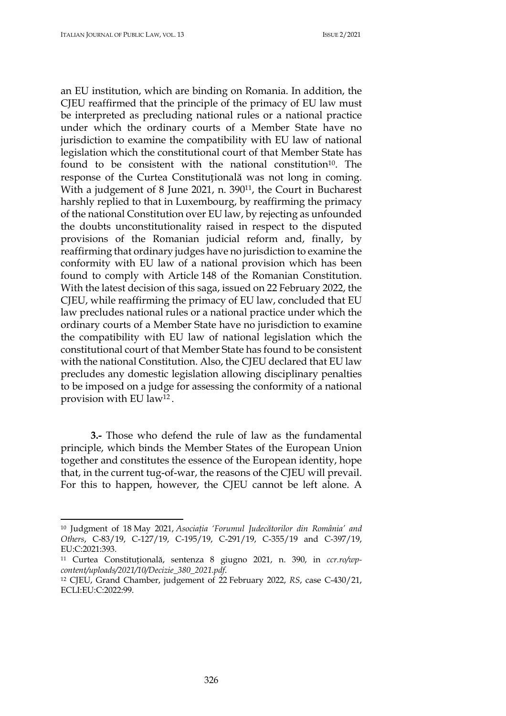an EU institution, which are binding on Romania. In addition, the CJEU reaffirmed that the principle of the primacy of EU law must be interpreted as precluding national rules or a national practice under which the ordinary courts of a Member State have no jurisdiction to examine the compatibility with EU law of national legislation which the constitutional court of that Member State has found to be consistent with the national constitution<sup>10</sup>. The response of the Curtea Constituțională was not long in coming. With a judgement of 8 June 2021, n. 390<sup>11</sup>, the Court in Bucharest harshly replied to that in Luxembourg, by reaffirming the primacy of the national Constitution over EU law, by rejecting as unfounded the doubts unconstitutionality raised in respect to the disputed provisions of the Romanian judicial reform and, finally, by reaffirming that ordinary judges have no jurisdiction to examine the conformity with EU law of a national provision which has been found to comply with Article 148 of the Romanian Constitution. With the latest decision of this saga, issued on 22 February 2022, the CJEU, while reaffirming the primacy of EU law, concluded that EU law precludes national rules or a national practice under which the ordinary courts of a Member State have no jurisdiction to examine the compatibility with EU law of national legislation which the constitutional court of that Member State has found to be consistent with the national Constitution. Also, the CJEU declared that EU law precludes any domestic legislation allowing disciplinary penalties to be imposed on a judge for assessing the conformity of a national provision with EU law12 .

**3.-** Those who defend the rule of law as the fundamental principle, which binds the Member States of the European Union together and constitutes the essence of the European identity, hope that, in the current tug-of-war, the reasons of the CJEU will prevail. For this to happen, however, the CJEU cannot be left alone. A

<sup>10</sup> Judgment of 18 May 2021, *Asociaţia 'Forumul Judecătorilor din România' and Others*, C-83/19, C-127/19, C-195/19, C-291/19, C-355/19 and C-397/19, EU:C:2021:393.

<sup>11</sup> Curtea Constituțională, sentenza 8 giugno 2021, n. 390, in *ccr.ro/wp-*

*content/uploads/2021/10/Decizie\_380\_2021.pdf*. 12 CJEU, Grand Chamber, judgement of 22 February 2022, *RS*, case C-430/21, ECLI:EU:C:2022:99.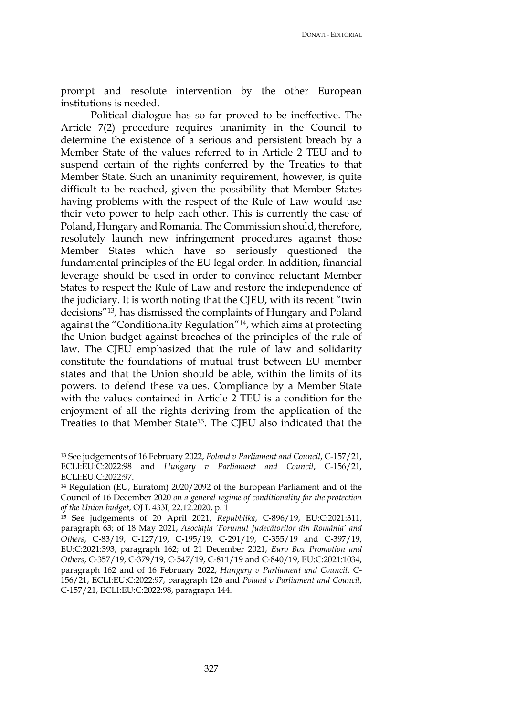prompt and resolute intervention by the other European institutions is needed.

Political dialogue has so far proved to be ineffective. The Article 7(2) procedure requires unanimity in the Council to determine the existence of a serious and persistent breach by a Member State of the values referred to in Article 2 TEU and to suspend certain of the rights conferred by the Treaties to that Member State. Such an unanimity requirement, however, is quite difficult to be reached, given the possibility that Member States having problems with the respect of the Rule of Law would use their veto power to help each other. This is currently the case of Poland, Hungary and Romania. The Commission should, therefore, resolutely launch new infringement procedures against those Member States which have so seriously questioned the fundamental principles of the EU legal order. In addition, financial leverage should be used in order to convince reluctant Member States to respect the Rule of Law and restore the independence of the judiciary. It is worth noting that the CJEU, with its recent "twin decisions"13, has dismissed the complaints of Hungary and Poland against the "Conditionality Regulation"14, which aims at protecting the Union budget against breaches of the principles of the rule of law. The CJEU emphasized that the rule of law and solidarity constitute the foundations of mutual trust between EU member states and that the Union should be able, within the limits of its powers, to defend these values. Compliance by a Member State with the values contained in Article 2 TEU is a condition for the enjoyment of all the rights deriving from the application of the Treaties to that Member State15. The CJEU also indicated that the

<sup>13</sup> See judgements of 16 February 2022, *Poland v Parliament and Council*, C-157/21, ECLI:EU:C:2022:98 and *Hungary v Parliament and Council*, C-156/21, ECLI:EU:C:2022:97.

<sup>14</sup> Regulation (EU, Euratom) 2020/2092 of the European Parliament and of the Council of 16 December 2020 *on a general regime of conditionality for the protection of the Union budget*, OJ L 433I, 22.12.2020, p. 1

<sup>15</sup> See judgements of 20 April 2021, *Repubblika*, C-896/19, EU:C:2021:311, paragraph 63; of 18 May 2021, *Asociaţia 'Forumul Judecătorilor din România' and Others*, C-83/19, C-127/19, C-195/19, C-291/19, C-355/19 and C-397/19, EU:C:2021:393, paragraph 162; of 21 December 2021, *Euro Box Promotion and Others*, C-357/19, C-379/19, C-547/19, C-811/19 and C-840/19, EU:C:2021:1034, paragraph 162 and of 16 February 2022, *Hungary v Parliament and Council*, C-156/21, ECLI:EU:C:2022:97, paragraph 126 and *Poland v Parliament and Council*, C-157/21, ECLI:EU:C:2022:98, paragraph 144.